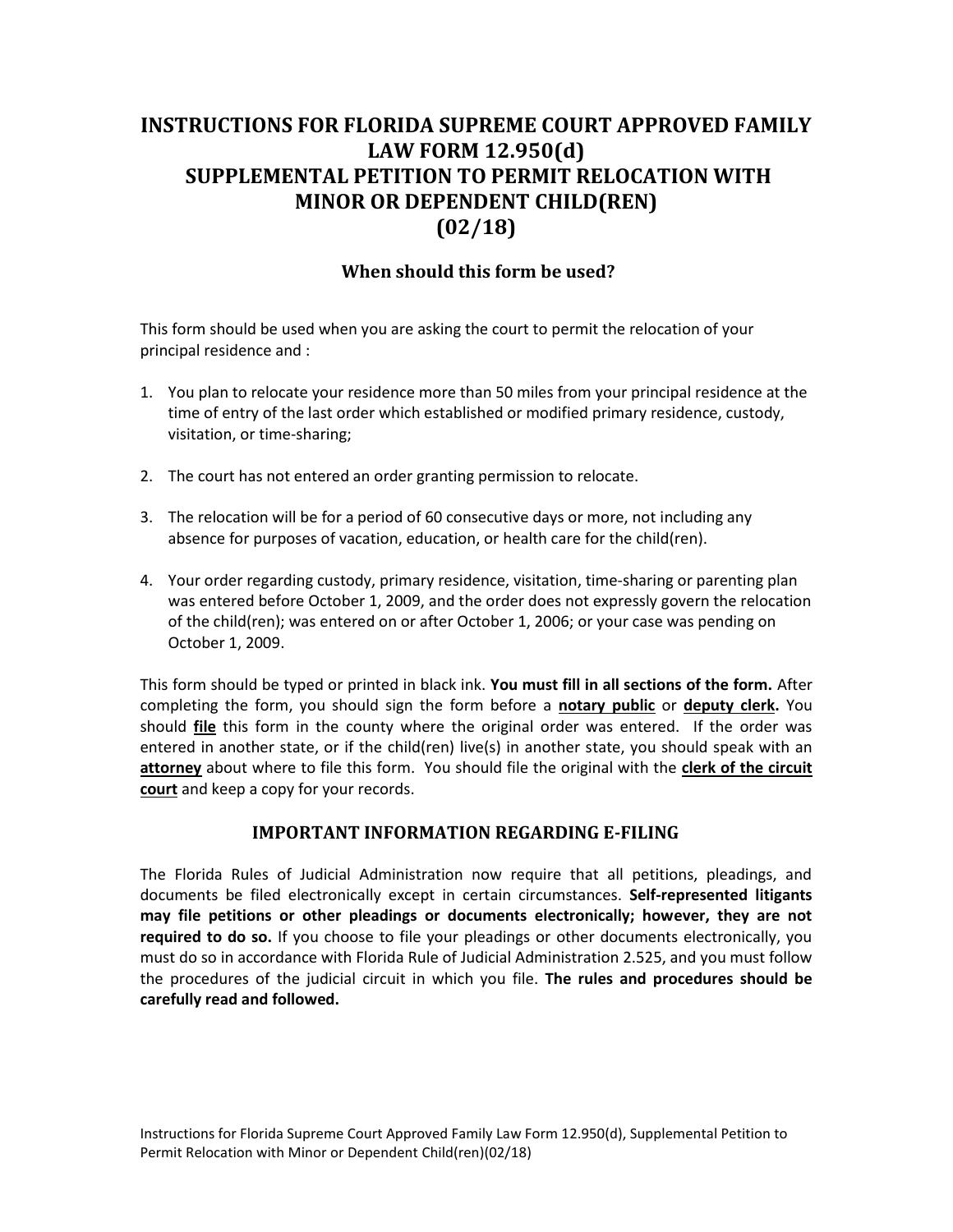## **INSTRUCTIONS FOR FLORIDA SUPREME COURT APPROVED FAMILY LAW FORM 12.950(d) SUPPLEMENTAL PETITION TO PERMIT RELOCATION WITH MINOR OR DEPENDENT CHILD(REN) (02/18)**

## **When should this form be used?**

This form should be used when you are asking the court to permit the relocation of your principal residence and :

- 1. You plan to relocate your residence more than 50 miles from your principal residence at the time of entry of the last order which established or modified primary residence, custody, visitation, or time-sharing;
- 2. The court has not entered an order granting permission to relocate.
- 3. The relocation will be for a period of 60 consecutive days or more, not including any absence for purposes of vacation, education, or health care for the child(ren).
- 4. Your order regarding custody, primary residence, visitation, time-sharing or parenting plan was entered before October 1, 2009, and the order does not expressly govern the relocation of the child(ren); was entered on or after October 1, 2006; or your case was pending on October 1, 2009.

This form should be typed or printed in black ink. **You must fill in all sections of the form.** After completing the form, you should sign the form before a **notary public** or **deputy clerk.** You should **file** this form in the county where the original order was entered. If the order was entered in another state, or if the child(ren) live(s) in another state, you should speak with an **attorney** about where to file this form. You should file the original with the **clerk of the circuit court** and keep a copy for your records.

## **IMPORTANT INFORMATION REGARDING E-FILING**

The Florida Rules of Judicial Administration now require that all petitions, pleadings, and documents be filed electronically except in certain circumstances. **Self-represented litigants may file petitions or other pleadings or documents electronically; however, they are not required to do so.** If you choose to file your pleadings or other documents electronically, you must do so in accordance with Florida Rule of Judicial Administration 2.525, and you must follow the procedures of the judicial circuit in which you file. **The rules and procedures should be carefully read and followed.**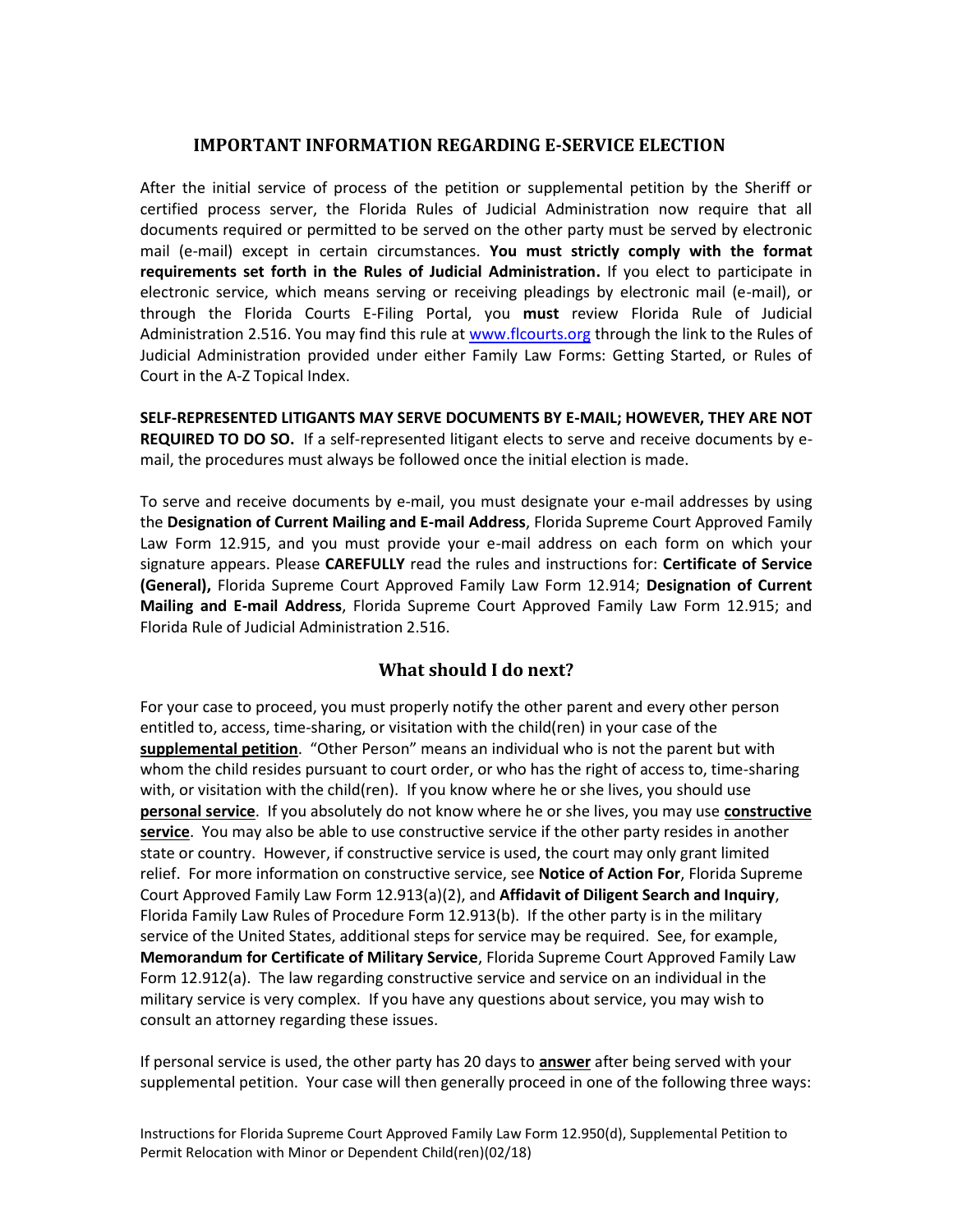## **IMPORTANT INFORMATION REGARDING E-SERVICE ELECTION**

After the initial service of process of the petition or supplemental petition by the Sheriff or certified process server, the Florida Rules of Judicial Administration now require that all documents required or permitted to be served on the other party must be served by electronic mail (e-mail) except in certain circumstances. **You must strictly comply with the format requirements set forth in the Rules of Judicial Administration.** If you elect to participate in electronic service, which means serving or receiving pleadings by electronic mail (e-mail), or through the Florida Courts E-Filing Portal, you **must** review Florida Rule of Judicial Administration 2.516. You may find this rule a[t www.flcourts.org](http://www.flcourts.org/) through the link to the Rules of Judicial Administration provided under either Family Law Forms: Getting Started, or Rules of Court in the A-Z Topical Index.

**SELF-REPRESENTED LITIGANTS MAY SERVE DOCUMENTS BY E-MAIL; HOWEVER, THEY ARE NOT REQUIRED TO DO SO.** If a self-represented litigant elects to serve and receive documents by email, the procedures must always be followed once the initial election is made.

To serve and receive documents by e-mail, you must designate your e-mail addresses by using the **Designation of Current Mailing and E-mail Address**, Florida Supreme Court Approved Family Law Form 12.915, and you must provide your e-mail address on each form on which your signature appears. Please **CAREFULLY** read the rules and instructions for: **Certificate of Service (General),** Florida Supreme Court Approved Family Law Form 12.914; **Designation of Current Mailing and E-mail Address**, Florida Supreme Court Approved Family Law Form 12.915; and Florida Rule of Judicial Administration 2.516.

## **What should I do next?**

For your case to proceed, you must properly notify the other parent and every other person entitled to, access, time-sharing, or visitation with the child(ren) in your case of the **supplemental petition**. "Other Person" means an individual who is not the parent but with whom the child resides pursuant to court order, or who has the right of access to, time-sharing with, or visitation with the child(ren). If you know where he or she lives, you should use **personal service**. If you absolutely do not know where he or she lives, you may use **constructive service**. You may also be able to use constructive service if the other party resides in another state or country. However, if constructive service is used, the court may only grant limited relief. For more information on constructive service, see **Notice of Action For**, Florida Supreme Court Approved Family Law Form 12.913(a)(2), and **Affidavit of Diligent Search and Inquiry**, Florida Family Law Rules of Procedure Form 12.913(b). If the other party is in the military service of the United States, additional steps for service may be required. See, for example, **Memorandum for Certificate of Military Service**, Florida Supreme Court Approved Family Law Form 12.912(a). The law regarding constructive service and service on an individual in the military service is very complex. If you have any questions about service, you may wish to consult an attorney regarding these issues.

If personal service is used, the other party has 20 days to **answer** after being served with your supplemental petition. Your case will then generally proceed in one of the following three ways:

Instructions for Florida Supreme Court Approved Family Law Form 12.950(d), Supplemental Petition to Permit Relocation with Minor or Dependent Child(ren)(02/18)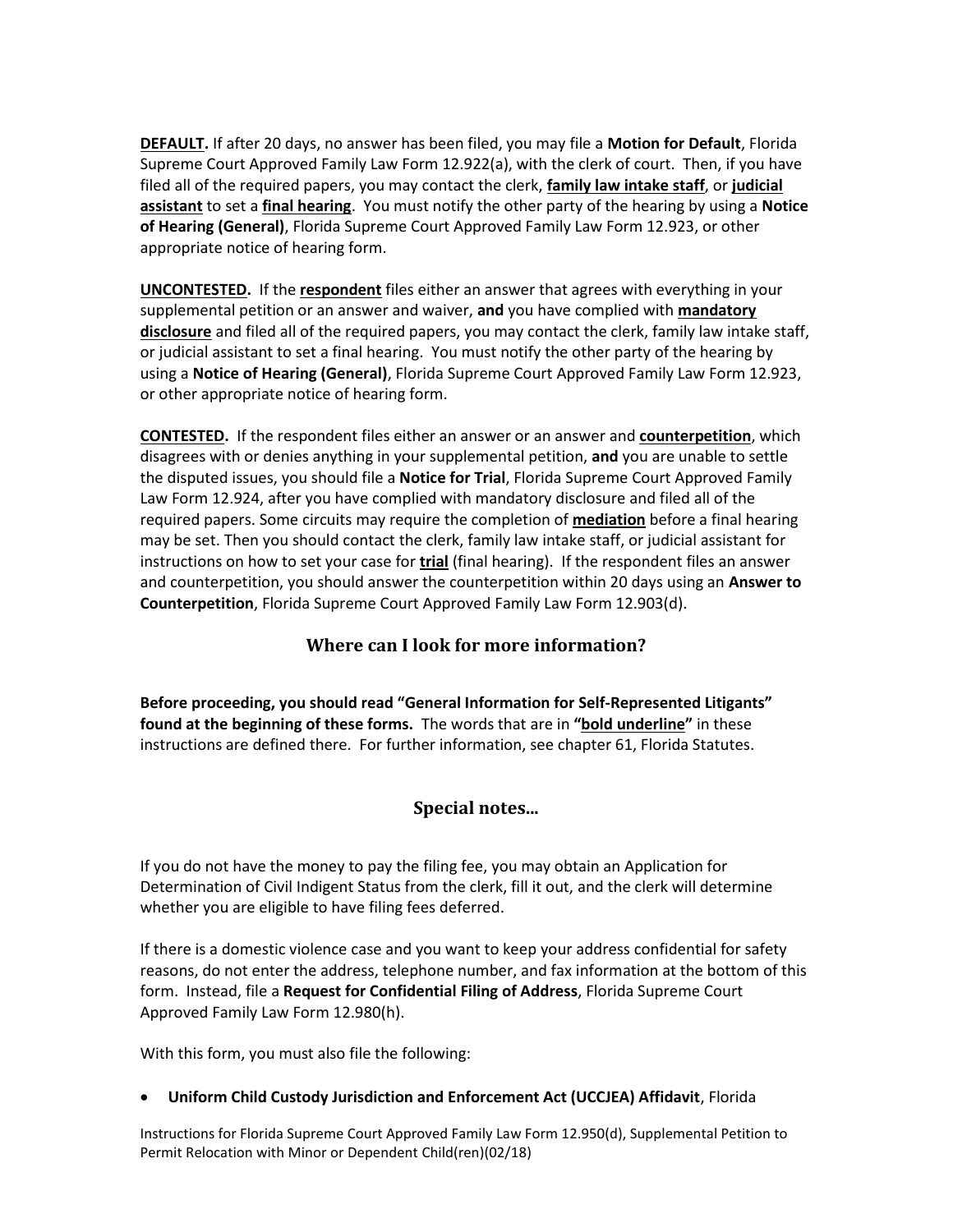**DEFAULT.** If after 20 days, no answer has been filed, you may file a **Motion for Default**, Florida Supreme Court Approved Family Law Form 12.922(a), with the clerk of court. Then, if you have filed all of the required papers, you may contact the clerk, **family law intake staff**, or **judicial assistant** to set a **final hearing**. You must notify the other party of the hearing by using a **Notice of Hearing (General)**, Florida Supreme Court Approved Family Law Form 12.923, or other appropriate notice of hearing form.

**UNCONTESTED.** If the **respondent** files either an answer that agrees with everything in your supplemental petition or an answer and waiver, **and** you have complied with **mandatory disclosure** and filed all of the required papers, you may contact the clerk, family law intake staff, or judicial assistant to set a final hearing. You must notify the other party of the hearing by using a **Notice of Hearing (General)**, Florida Supreme Court Approved Family Law Form 12.923, or other appropriate notice of hearing form.

**CONTESTED.** If the respondent files either an answer or an answer and **counterpetition**, which disagrees with or denies anything in your supplemental petition, **and** you are unable to settle the disputed issues, you should file a **Notice for Trial**, Florida Supreme Court Approved Family Law Form 12.924, after you have complied with mandatory disclosure and filed all of the required papers. Some circuits may require the completion of **mediation** before a final hearing may be set. Then you should contact the clerk, family law intake staff, or judicial assistant for instructions on how to set your case for **trial** (final hearing). If the respondent files an answer and counterpetition, you should answer the counterpetition within 20 days using an **Answer to Counterpetition**, Florida Supreme Court Approved Family Law Form 12.903(d).

## **Where can I look for more information?**

**Before proceeding, you should read "General Information for Self-Represented Litigants" found at the beginning of these forms.** The words that are in **"bold underline"** in these instructions are defined there. For further information, see chapter 61, Florida Statutes.

## **Special notes...**

If you do not have the money to pay the filing fee, you may obtain an Application for Determination of Civil Indigent Status from the clerk, fill it out, and the clerk will determine whether you are eligible to have filing fees deferred.

If there is a domestic violence case and you want to keep your address confidential for safety reasons, do not enter the address, telephone number, and fax information at the bottom of this form. Instead, file a **Request for Confidential Filing of Address**, Florida Supreme Court Approved Family Law Form 12.980(h).

With this form, you must also file the following:

## **Uniform Child Custody Jurisdiction and Enforcement Act (UCCJEA) Affidavit**, Florida

Instructions for Florida Supreme Court Approved Family Law Form 12.950(d), Supplemental Petition to Permit Relocation with Minor or Dependent Child(ren)(02/18)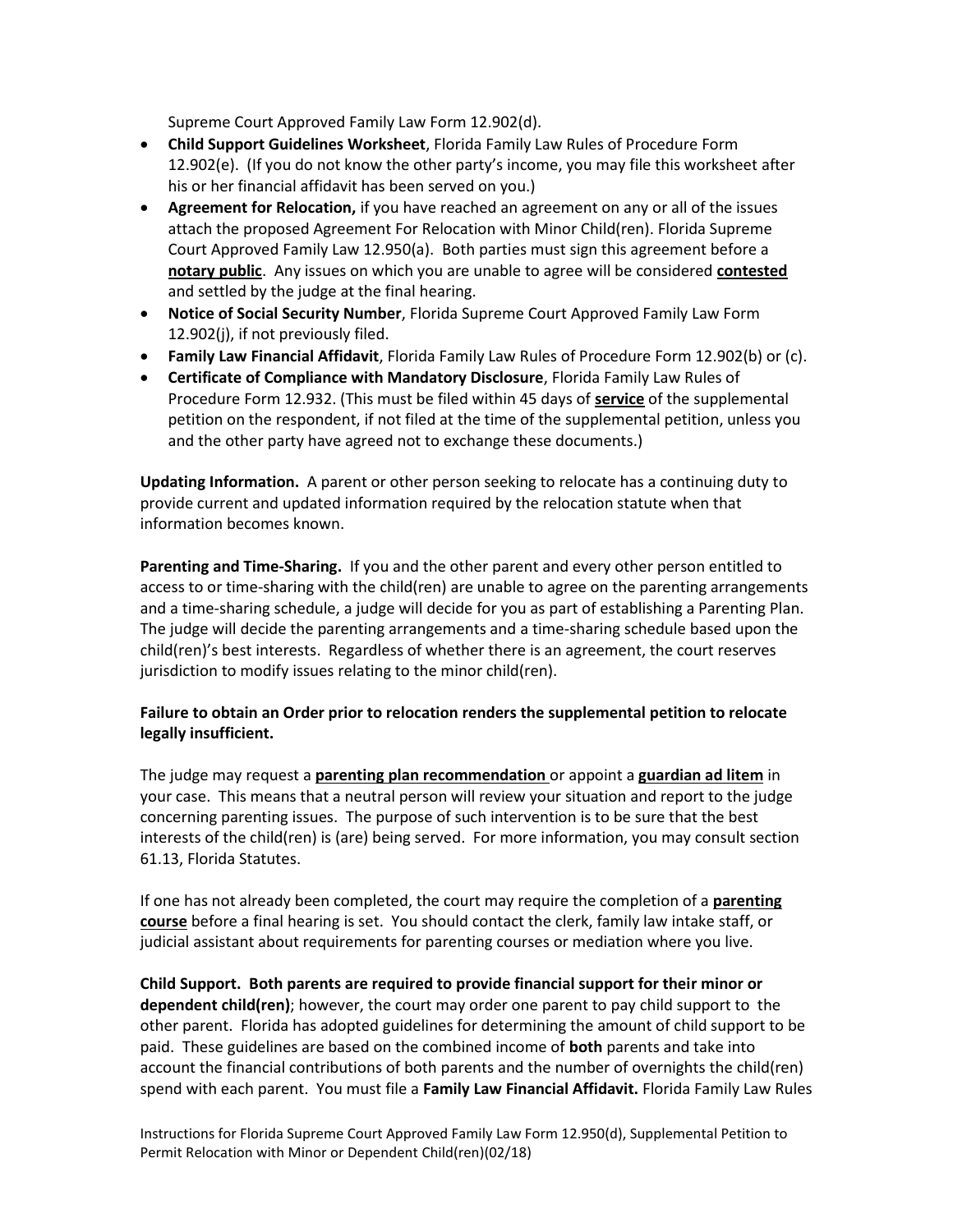Supreme Court Approved Family Law Form 12.902(d).

- **Child Support Guidelines Worksheet**, Florida Family Law Rules of Procedure Form 12.902(e). (If you do not know the other party's income, you may file this worksheet after his or her financial affidavit has been served on you.)
- **Agreement for Relocation,** if you have reached an agreement on any or all of the issues attach the proposed Agreement For Relocation with Minor Child(ren). Florida Supreme Court Approved Family Law 12.950(a). Both parties must sign this agreement before a **notary public**. Any issues on which you are unable to agree will be considered **contested** and settled by the judge at the final hearing.
- **Notice of Social Security Number**, Florida Supreme Court Approved Family Law Form 12.902(j), if not previously filed.
- **Family Law Financial Affidavit**, Florida Family Law Rules of Procedure Form 12.902(b) or (c).
- **Certificate of Compliance with Mandatory Disclosure**, Florida Family Law Rules of Procedure Form 12.932. (This must be filed within 45 days of **service** of the supplemental petition on the respondent, if not filed at the time of the supplemental petition, unless you and the other party have agreed not to exchange these documents.)

**Updating Information.** A parent or other person seeking to relocate has a continuing duty to provide current and updated information required by the relocation statute when that information becomes known.

**Parenting and Time-Sharing.** If you and the other parent and every other person entitled to access to or time-sharing with the child(ren) are unable to agree on the parenting arrangements and a time-sharing schedule, a judge will decide for you as part of establishing a Parenting Plan. The judge will decide the parenting arrangements and a time-sharing schedule based upon the child(ren)'s best interests. Regardless of whether there is an agreement, the court reserves jurisdiction to modify issues relating to the minor child(ren).

## **Failure to obtain an Order prior to relocation renders the supplemental petition to relocate legally insufficient.**

The judge may request a **parenting plan recommendation** or appoint a **guardian ad litem** in your case. This means that a neutral person will review your situation and report to the judge concerning parenting issues. The purpose of such intervention is to be sure that the best interests of the child(ren) is (are) being served. For more information, you may consult section 61.13, Florida Statutes.

If one has not already been completed, the court may require the completion of a **parenting course** before a final hearing is set. You should contact the clerk, family law intake staff, or judicial assistant about requirements for parenting courses or mediation where you live.

**Child Support. Both parents are required to provide financial support for their minor or dependent child(ren)**; however, the court may order one parent to pay child support to the other parent. Florida has adopted guidelines for determining the amount of child support to be paid. These guidelines are based on the combined income of **both** parents and take into account the financial contributions of both parents and the number of overnights the child(ren) spend with each parent. You must file a **Family Law Financial Affidavit.** Florida Family Law Rules

Instructions for Florida Supreme Court Approved Family Law Form 12.950(d), Supplemental Petition to Permit Relocation with Minor or Dependent Child(ren)(02/18)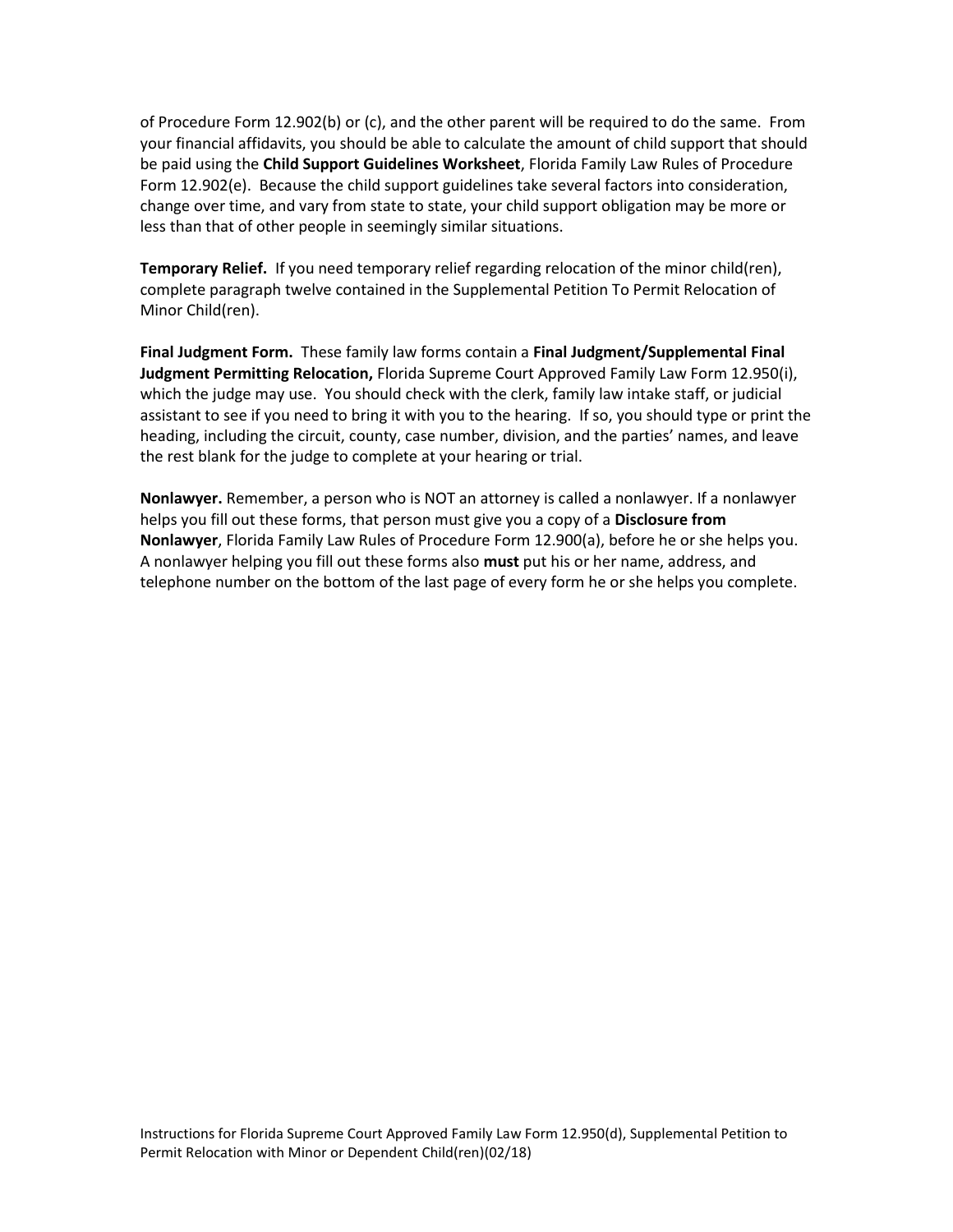of Procedure Form 12.902(b) or (c), and the other parent will be required to do the same. From your financial affidavits, you should be able to calculate the amount of child support that should be paid using the **Child Support Guidelines Worksheet**, Florida Family Law Rules of Procedure Form 12.902(e). Because the child support guidelines take several factors into consideration, change over time, and vary from state to state, your child support obligation may be more or less than that of other people in seemingly similar situations.

**Temporary Relief.** If you need temporary relief regarding relocation of the minor child(ren), complete paragraph twelve contained in the Supplemental Petition To Permit Relocation of Minor Child(ren).

**Final Judgment Form.** These family law forms contain a **Final Judgment/Supplemental Final Judgment Permitting Relocation,** Florida Supreme Court Approved Family Law Form 12.950(i), which the judge may use. You should check with the clerk, family law intake staff, or judicial assistant to see if you need to bring it with you to the hearing. If so, you should type or print the heading, including the circuit, county, case number, division, and the parties' names, and leave the rest blank for the judge to complete at your hearing or trial.

**Nonlawyer.** Remember, a person who is NOT an attorney is called a nonlawyer. If a nonlawyer helps you fill out these forms, that person must give you a copy of a **Disclosure from Nonlawyer**, Florida Family Law Rules of Procedure Form 12.900(a), before he or she helps you. A nonlawyer helping you fill out these forms also **must** put his or her name, address, and telephone number on the bottom of the last page of every form he or she helps you complete.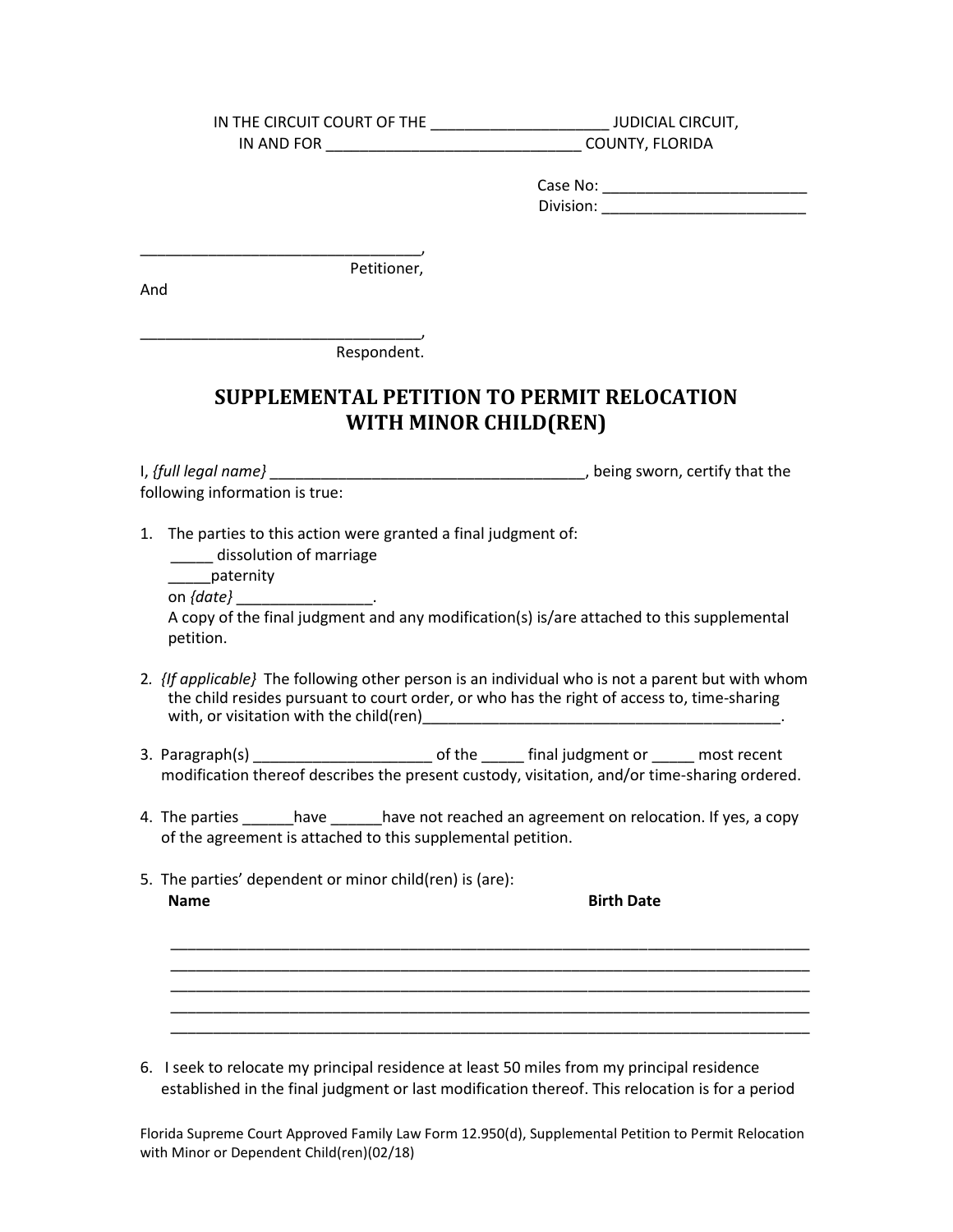IN THE CIRCUIT COURT OF THE \_\_\_\_\_\_\_\_\_\_\_\_\_\_\_\_\_\_\_\_\_ JUDICIAL CIRCUIT, IN AND FOR \_\_\_\_\_\_\_\_\_\_\_\_\_\_\_\_\_\_\_\_\_\_\_\_\_\_\_\_\_\_ COUNTY, FLORIDA

> Case No: \_\_\_\_\_\_\_\_\_\_\_\_\_\_\_\_\_\_\_\_\_\_\_\_ Division: \_\_\_\_\_\_\_\_\_\_\_\_\_\_\_\_\_\_\_\_\_\_\_\_

\_\_\_\_\_\_\_\_\_\_\_\_\_\_\_\_\_\_\_\_\_\_\_\_\_\_\_\_\_\_\_\_\_, Petitioner,

And

Respondent.

\_\_\_\_\_\_\_\_\_\_\_\_\_\_\_\_\_\_\_\_\_\_\_\_\_\_\_\_\_\_\_\_\_,

# **SUPPLEMENTAL PETITION TO PERMIT RELOCATION WITH MINOR CHILD(REN)**

I, *{full legal name}* \_\_\_\_\_\_\_\_\_\_\_\_\_\_\_\_\_\_\_\_\_\_\_\_\_\_\_\_\_\_\_\_\_\_\_\_\_, being sworn, certify that the following information is true:

1. The parties to this action were granted a final judgment of:

| dissolution of marriage                                                                   |
|-------------------------------------------------------------------------------------------|
| paternity                                                                                 |
| on $\{date\}$                                                                             |
| A copy of the final judgment and any modification(s) is/are attached to this supplemental |
| petition.                                                                                 |

- 2*. {If applicable}* The following other person is an individual who is not a parent but with whom the child resides pursuant to court order, or who has the right of access to, time-sharing with, or visitation with the child(ren)\_\_\_\_\_\_\_\_\_\_\_\_\_\_\_\_\_\_\_\_\_\_\_\_\_\_\_\_\_\_\_\_\_\_\_\_\_\_\_\_\_\_.
- 3. Paragraph(s) \_\_\_\_\_\_\_\_\_\_\_\_\_\_\_\_\_\_\_\_\_ of the \_\_\_\_\_ final judgment or \_\_\_\_\_ most recent modification thereof describes the present custody, visitation, and/or time-sharing ordered.
- 4. The parties \_\_\_\_\_\_have \_\_\_\_\_have not reached an agreement on relocation. If yes, a copy of the agreement is attached to this supplemental petition.

\_\_\_\_\_\_\_\_\_\_\_\_\_\_\_\_\_\_\_\_\_\_\_\_\_\_\_\_\_\_\_\_\_\_\_\_\_\_\_\_\_\_\_\_\_\_\_\_\_\_\_\_\_\_\_\_\_\_\_\_\_\_\_\_\_\_\_\_\_\_\_\_\_\_\_ \_\_\_\_\_\_\_\_\_\_\_\_\_\_\_\_\_\_\_\_\_\_\_\_\_\_\_\_\_\_\_\_\_\_\_\_\_\_\_\_\_\_\_\_\_\_\_\_\_\_\_\_\_\_\_\_\_\_\_\_\_\_\_\_\_\_\_\_\_\_\_\_\_\_\_ \_\_\_\_\_\_\_\_\_\_\_\_\_\_\_\_\_\_\_\_\_\_\_\_\_\_\_\_\_\_\_\_\_\_\_\_\_\_\_\_\_\_\_\_\_\_\_\_\_\_\_\_\_\_\_\_\_\_\_\_\_\_\_\_\_\_\_\_\_\_\_\_\_\_\_ \_\_\_\_\_\_\_\_\_\_\_\_\_\_\_\_\_\_\_\_\_\_\_\_\_\_\_\_\_\_\_\_\_\_\_\_\_\_\_\_\_\_\_\_\_\_\_\_\_\_\_\_\_\_\_\_\_\_\_\_\_\_\_\_\_\_\_\_\_\_\_\_\_\_\_ \_\_\_\_\_\_\_\_\_\_\_\_\_\_\_\_\_\_\_\_\_\_\_\_\_\_\_\_\_\_\_\_\_\_\_\_\_\_\_\_\_\_\_\_\_\_\_\_\_\_\_\_\_\_\_\_\_\_\_\_\_\_\_\_\_\_\_\_\_\_\_\_\_\_\_

5. The parties' dependent or minor child(ren) is (are): **Name Birth Date** 

6. I seek to relocate my principal residence at least 50 miles from my principal residence established in the final judgment or last modification thereof. This relocation is for a period

Florida Supreme Court Approved Family Law Form 12.950(d), Supplemental Petition to Permit Relocation with Minor or Dependent Child(ren)(02/18)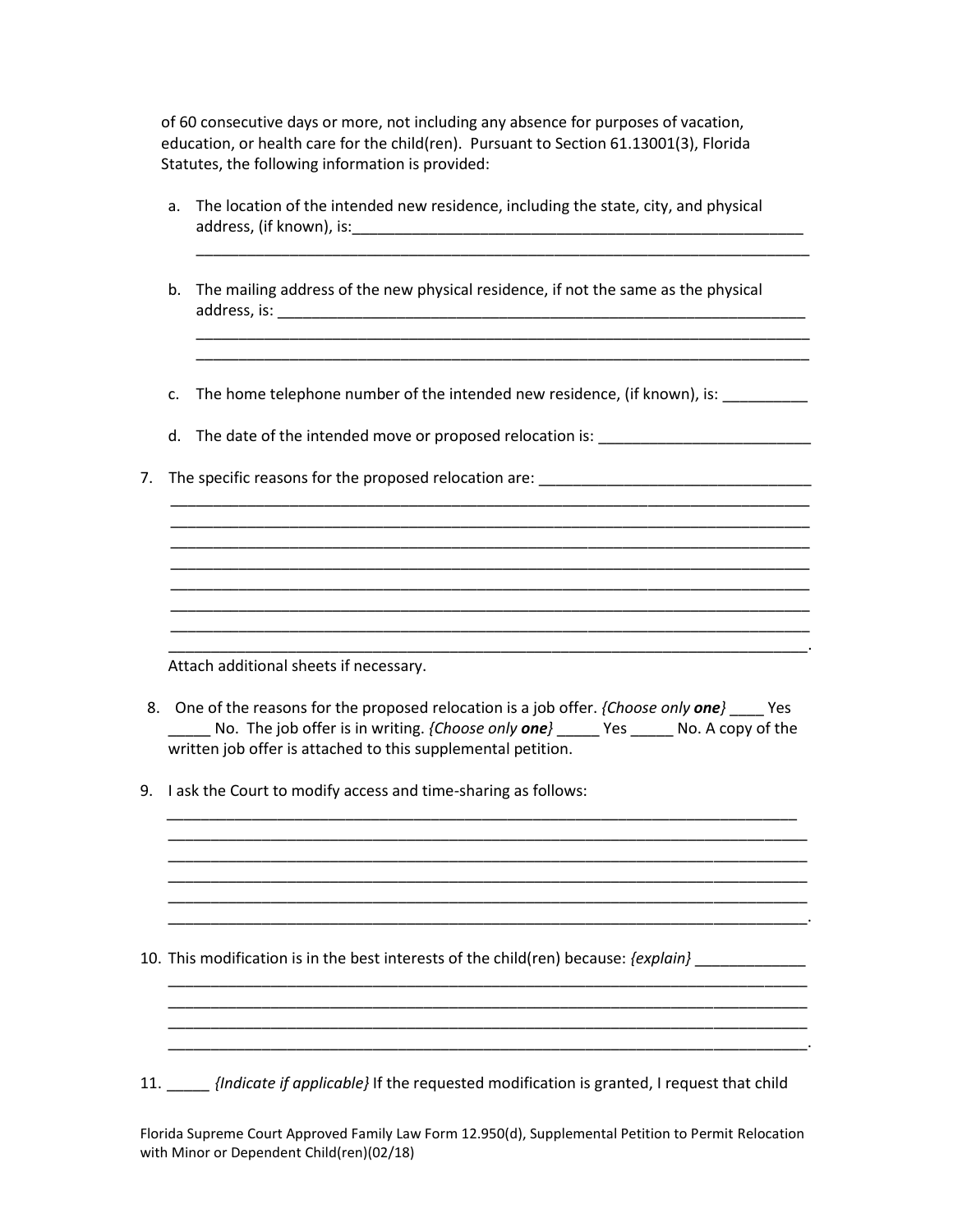of 60 consecutive days or more, not including any absence for purposes of vacation, education, or health care for the child(ren). Pursuant to Section 61.13001(3), Florida Statutes, the following information is provided:

a. The location of the intended new residence, including the state, city, and physical address, (if known), is:\_\_\_\_\_\_\_\_\_\_\_\_\_\_\_\_\_\_\_\_\_\_\_\_\_\_\_\_\_\_\_\_\_\_\_\_\_\_\_\_\_\_\_\_\_\_\_\_\_\_\_\_\_

\_\_\_\_\_\_\_\_\_\_\_\_\_\_\_\_\_\_\_\_\_\_\_\_\_\_\_\_\_\_\_\_\_\_\_\_\_\_\_\_\_\_\_\_\_\_\_\_\_\_\_\_\_\_\_\_\_\_\_\_\_\_\_\_\_\_\_\_\_\_\_\_

\_\_\_\_\_\_\_\_\_\_\_\_\_\_\_\_\_\_\_\_\_\_\_\_\_\_\_\_\_\_\_\_\_\_\_\_\_\_\_\_\_\_\_\_\_\_\_\_\_\_\_\_\_\_\_\_\_\_\_\_\_\_\_\_\_\_\_\_\_\_\_\_ \_\_\_\_\_\_\_\_\_\_\_\_\_\_\_\_\_\_\_\_\_\_\_\_\_\_\_\_\_\_\_\_\_\_\_\_\_\_\_\_\_\_\_\_\_\_\_\_\_\_\_\_\_\_\_\_\_\_\_\_\_\_\_\_\_\_\_\_\_\_\_\_

b. The mailing address of the new physical residence, if not the same as the physical address, is: \_\_\_\_\_\_\_\_\_\_\_\_\_\_\_\_\_\_\_\_\_\_\_\_\_\_\_\_\_\_\_\_\_\_\_\_\_\_\_\_\_\_\_\_\_\_\_\_\_\_\_\_\_\_\_\_\_\_\_\_\_\_

c. The home telephone number of the intended new residence, (if known), is: \_\_\_\_\_\_\_\_

\_\_\_\_\_\_\_\_\_\_\_\_\_\_\_\_\_\_\_\_\_\_\_\_\_\_\_\_\_\_\_\_\_\_\_\_\_\_\_\_\_\_\_\_\_\_\_\_\_\_\_\_\_\_\_\_\_\_\_\_\_\_\_\_\_\_\_\_\_\_\_\_\_\_\_ \_\_\_\_\_\_\_\_\_\_\_\_\_\_\_\_\_\_\_\_\_\_\_\_\_\_\_\_\_\_\_\_\_\_\_\_\_\_\_\_\_\_\_\_\_\_\_\_\_\_\_\_\_\_\_\_\_\_\_\_\_\_\_\_\_\_\_\_\_\_\_\_\_\_\_ \_\_\_\_\_\_\_\_\_\_\_\_\_\_\_\_\_\_\_\_\_\_\_\_\_\_\_\_\_\_\_\_\_\_\_\_\_\_\_\_\_\_\_\_\_\_\_\_\_\_\_\_\_\_\_\_\_\_\_\_\_\_\_\_\_\_\_\_\_\_\_\_\_\_\_ \_\_\_\_\_\_\_\_\_\_\_\_\_\_\_\_\_\_\_\_\_\_\_\_\_\_\_\_\_\_\_\_\_\_\_\_\_\_\_\_\_\_\_\_\_\_\_\_\_\_\_\_\_\_\_\_\_\_\_\_\_\_\_\_\_\_\_\_\_\_\_\_\_\_\_ \_\_\_\_\_\_\_\_\_\_\_\_\_\_\_\_\_\_\_\_\_\_\_\_\_\_\_\_\_\_\_\_\_\_\_\_\_\_\_\_\_\_\_\_\_\_\_\_\_\_\_\_\_\_\_\_\_\_\_\_\_\_\_\_\_\_\_\_\_\_\_\_\_\_\_ \_\_\_\_\_\_\_\_\_\_\_\_\_\_\_\_\_\_\_\_\_\_\_\_\_\_\_\_\_\_\_\_\_\_\_\_\_\_\_\_\_\_\_\_\_\_\_\_\_\_\_\_\_\_\_\_\_\_\_\_\_\_\_\_\_\_\_\_\_\_\_\_\_\_\_

\_\_\_\_\_\_\_\_\_\_\_\_\_\_\_\_\_\_\_\_\_\_\_\_\_\_\_\_\_\_\_\_\_\_\_\_\_\_\_\_\_\_\_\_\_\_\_\_\_\_\_\_\_\_\_\_\_\_\_\_\_\_\_\_\_\_\_\_\_\_\_\_\_\_\_.

- d. The date of the intended move or proposed relocation is:
- 7. The specific reasons for the proposed relocation are:

Attach additional sheets if necessary.

8. One of the reasons for the proposed relocation is a job offer. *{Choose only one}* \_\_\_\_ Yes \_\_\_\_\_ No. The job offer is in writing. *{Choose only one}* \_\_\_\_\_ Yes \_\_\_\_\_ No. A copy of the written job offer is attached to this supplemental petition.

 \_\_\_\_\_\_\_\_\_\_\_\_\_\_\_\_\_\_\_\_\_\_\_\_\_\_\_\_\_\_\_\_\_\_\_\_\_\_\_\_\_\_\_\_\_\_\_\_\_\_\_\_\_\_\_\_\_\_\_\_\_\_\_\_\_\_\_\_\_\_\_\_\_\_ \_\_\_\_\_\_\_\_\_\_\_\_\_\_\_\_\_\_\_\_\_\_\_\_\_\_\_\_\_\_\_\_\_\_\_\_\_\_\_\_\_\_\_\_\_\_\_\_\_\_\_\_\_\_\_\_\_\_\_\_\_\_\_\_\_\_\_\_\_\_\_\_\_\_\_ \_\_\_\_\_\_\_\_\_\_\_\_\_\_\_\_\_\_\_\_\_\_\_\_\_\_\_\_\_\_\_\_\_\_\_\_\_\_\_\_\_\_\_\_\_\_\_\_\_\_\_\_\_\_\_\_\_\_\_\_\_\_\_\_\_\_\_\_\_\_\_\_\_\_\_ \_\_\_\_\_\_\_\_\_\_\_\_\_\_\_\_\_\_\_\_\_\_\_\_\_\_\_\_\_\_\_\_\_\_\_\_\_\_\_\_\_\_\_\_\_\_\_\_\_\_\_\_\_\_\_\_\_\_\_\_\_\_\_\_\_\_\_\_\_\_\_\_\_\_\_ \_\_\_\_\_\_\_\_\_\_\_\_\_\_\_\_\_\_\_\_\_\_\_\_\_\_\_\_\_\_\_\_\_\_\_\_\_\_\_\_\_\_\_\_\_\_\_\_\_\_\_\_\_\_\_\_\_\_\_\_\_\_\_\_\_\_\_\_\_\_\_\_\_\_\_ \_\_\_\_\_\_\_\_\_\_\_\_\_\_\_\_\_\_\_\_\_\_\_\_\_\_\_\_\_\_\_\_\_\_\_\_\_\_\_\_\_\_\_\_\_\_\_\_\_\_\_\_\_\_\_\_\_\_\_\_\_\_\_\_\_\_\_\_\_\_\_\_\_\_\_.

9. I ask the Court to modify access and time-sharing as follows:

10. This modification is in the best interests of the child(ren) because: *{explain}* \_\_\_\_\_\_\_\_\_\_\_\_\_

11. *\_\_\_\_\_ {Indicate if applicable}* If the requested modification is granted, I request that child

\_\_\_\_\_\_\_\_\_\_\_\_\_\_\_\_\_\_\_\_\_\_\_\_\_\_\_\_\_\_\_\_\_\_\_\_\_\_\_\_\_\_\_\_\_\_\_\_\_\_\_\_\_\_\_\_\_\_\_\_\_\_\_\_\_\_\_\_\_\_\_\_\_\_\_

\_\_\_\_\_\_\_\_\_\_\_\_\_\_\_\_\_\_\_\_\_\_\_\_\_\_\_\_\_\_\_\_\_\_\_\_\_\_\_\_\_\_\_\_\_\_\_\_\_\_\_\_\_\_\_\_\_\_\_\_\_\_\_\_\_\_\_\_\_\_\_\_\_\_\_ \_\_\_\_\_\_\_\_\_\_\_\_\_\_\_\_\_\_\_\_\_\_\_\_\_\_\_\_\_\_\_\_\_\_\_\_\_\_\_\_\_\_\_\_\_\_\_\_\_\_\_\_\_\_\_\_\_\_\_\_\_\_\_\_\_\_\_\_\_\_\_\_\_\_\_.

Florida Supreme Court Approved Family Law Form 12.950(d), Supplemental Petition to Permit Relocation with Minor or Dependent Child(ren)(02/18)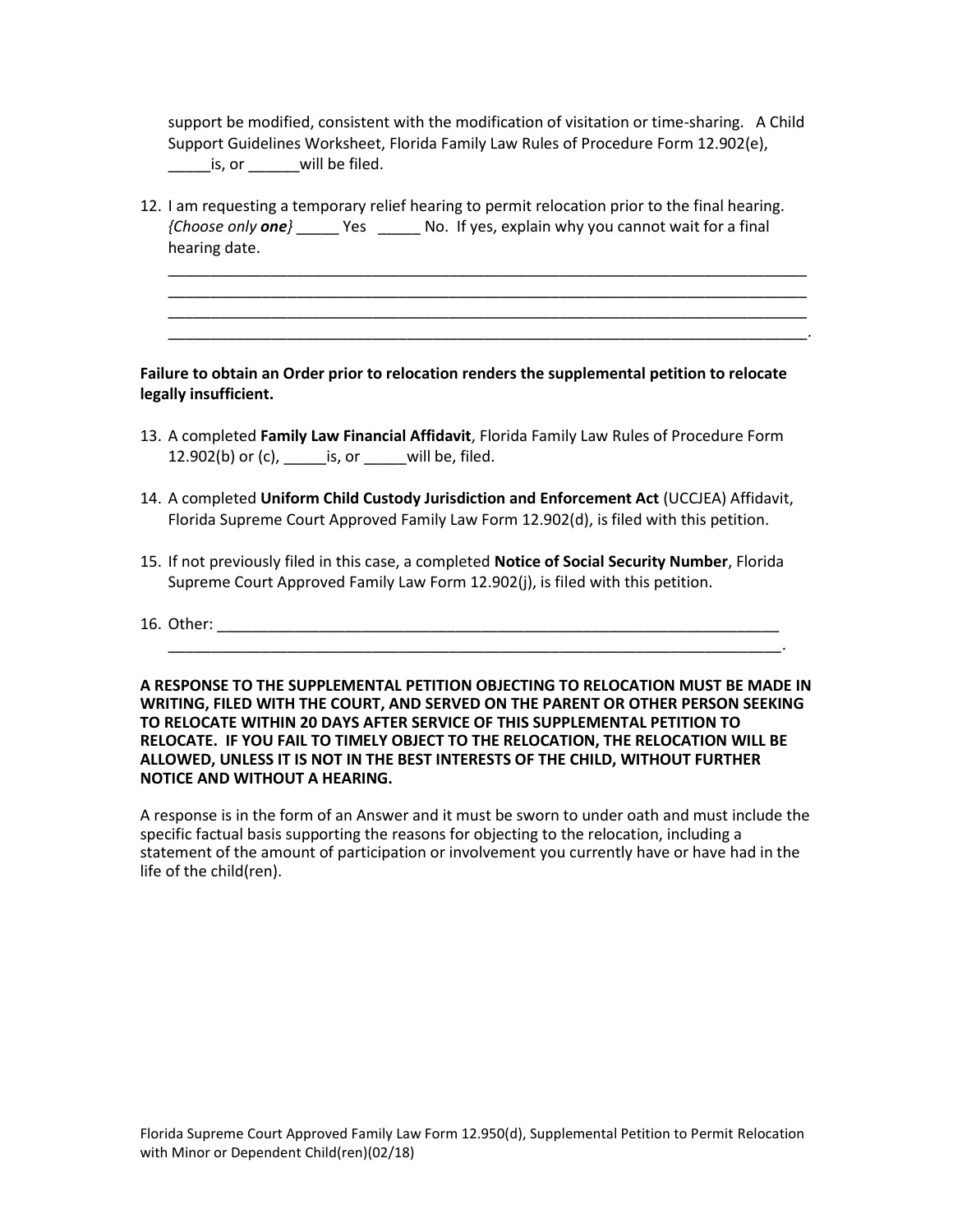support be modified, consistent with the modification of visitation or time-sharing. A Child Support Guidelines Worksheet, Florida Family Law Rules of Procedure Form 12.902(e), \_\_\_\_\_\_\_\_ is, or \_\_\_\_\_\_\_\_ will be filed.

\_\_\_\_\_\_\_\_\_\_\_\_\_\_\_\_\_\_\_\_\_\_\_\_\_\_\_\_\_\_\_\_\_\_\_\_\_\_\_\_\_\_\_\_\_\_\_\_\_\_\_\_\_\_\_\_\_\_\_\_\_\_\_\_\_\_\_\_\_\_\_\_\_\_\_ \_\_\_\_\_\_\_\_\_\_\_\_\_\_\_\_\_\_\_\_\_\_\_\_\_\_\_\_\_\_\_\_\_\_\_\_\_\_\_\_\_\_\_\_\_\_\_\_\_\_\_\_\_\_\_\_\_\_\_\_\_\_\_\_\_\_\_\_\_\_\_\_\_\_\_ \_\_\_\_\_\_\_\_\_\_\_\_\_\_\_\_\_\_\_\_\_\_\_\_\_\_\_\_\_\_\_\_\_\_\_\_\_\_\_\_\_\_\_\_\_\_\_\_\_\_\_\_\_\_\_\_\_\_\_\_\_\_\_\_\_\_\_\_\_\_\_\_\_\_\_ \_\_\_\_\_\_\_\_\_\_\_\_\_\_\_\_\_\_\_\_\_\_\_\_\_\_\_\_\_\_\_\_\_\_\_\_\_\_\_\_\_\_\_\_\_\_\_\_\_\_\_\_\_\_\_\_\_\_\_\_\_\_\_\_\_\_\_\_\_\_\_\_\_\_\_.

12. I am requesting a temporary relief hearing to permit relocation prior to the final hearing. *{Choose only one}* \_\_\_\_\_ Yes \_\_\_\_\_ No. If yes, explain why you cannot wait for a final hearing date.

**Failure to obtain an Order prior to relocation renders the supplemental petition to relocate legally insufficient.**

- 13. A completed **Family Law Financial Affidavit**, Florida Family Law Rules of Procedure Form  $12.902(b)$  or (c), \_\_\_\_\_\_\_\_ is, or \_\_\_\_\_\_will be, filed.
- 14. A completed **Uniform Child Custody Jurisdiction and Enforcement Act** (UCCJEA) Affidavit, Florida Supreme Court Approved Family Law Form 12.902(d), is filed with this petition.
- 15. If not previously filed in this case, a completed **Notice of Social Security Number**, Florida Supreme Court Approved Family Law Form 12.902(j), is filed with this petition.
- 16. Other: \_\_\_\_\_\_\_\_\_\_\_\_\_\_\_\_\_\_\_\_\_\_\_\_\_\_\_\_\_\_\_\_\_\_\_\_\_\_\_\_\_\_\_\_\_\_\_\_\_\_\_\_\_\_\_\_\_\_\_\_\_\_\_\_\_\_ \_\_\_\_\_\_\_\_\_\_\_\_\_\_\_\_\_\_\_\_\_\_\_\_\_\_\_\_\_\_\_\_\_\_\_\_\_\_\_\_\_\_\_\_\_\_\_\_\_\_\_\_\_\_\_\_\_\_\_\_\_\_\_\_\_\_\_\_\_\_\_\_.

**A RESPONSE TO THE SUPPLEMENTAL PETITION OBJECTING TO RELOCATION MUST BE MADE IN WRITING, FILED WITH THE COURT, AND SERVED ON THE PARENT OR OTHER PERSON SEEKING TO RELOCATE WITHIN 20 DAYS AFTER SERVICE OF THIS SUPPLEMENTAL PETITION TO RELOCATE. IF YOU FAIL TO TIMELY OBJECT TO THE RELOCATION, THE RELOCATION WILL BE ALLOWED, UNLESS IT IS NOT IN THE BEST INTERESTS OF THE CHILD, WITHOUT FURTHER NOTICE AND WITHOUT A HEARING.**

A response is in the form of an Answer and it must be sworn to under oath and must include the specific factual basis supporting the reasons for objecting to the relocation, including a statement of the amount of participation or involvement you currently have or have had in the life of the child(ren).